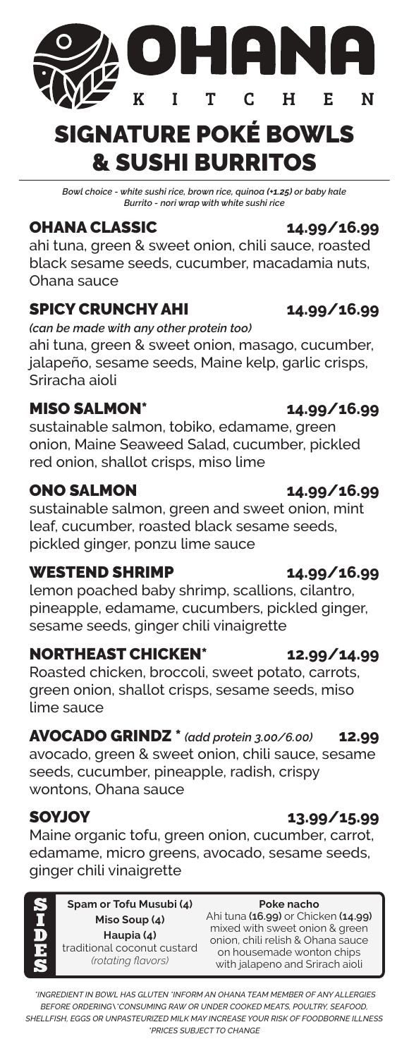## SIGNATURE POKÉ BOWLS & SUSHI BURRITOS

T

T

DHAR

 $\overline{C}$ 

 $H$ 

*Bowl choice - white sushi rice, brown rice, quinoa (+1.25) or baby kale Burrito - nori wrap with white sushi rice*

## OHANA CLASSIC **14.99/16.99**

ahi tuna, green & sweet onion, chili sauce, roasted black sesame seeds, cucumber, macadamia nuts, Ohana sauce

### SPICY CRUNCHY AHI **14.99/16.99**

*(can be made with any other protein too)*

K

ahi tuna, green & sweet onion, masago, cucumber, jalapeño, sesame seeds, Maine kelp, garlic crisps, Sriracha aioli

### MISO SALMON\* **14.99/16.99**

sustainable salmon, tobiko, edamame, green onion, Maine Seaweed Salad, cucumber, pickled red onion, shallot crisps, miso lime

### ONO SALMON **14.99/16.99**

sustainable salmon, green and sweet onion, mint leaf, cucumber, roasted black sesame seeds, pickled ginger, ponzu lime sauce

### WESTEND SHRIMP **14.99/16.99**

lemon poached baby shrimp, scallions, cilantro, pineapple, edamame, cucumbers, pickled ginger, sesame seeds, ginger chili vinaigrette

### NORTHEAST CHICKEN\* **12.99/14.99**

Roasted chicken, broccoli, sweet potato, carrots, green onion, shallot crisps, sesame seeds, miso lime sauce

### AVOCADO GRINDZ \* *(add protein 3.00/6.00)* **12.99**

avocado, green & sweet onion, chili sauce, sesame seeds, cucumber, pineapple, radish, crispy wontons, Ohana sauce

SOYJOY **13.99/15.99**  Maine organic tofu, green onion, cucumber, carrot, edamame, micro greens, avocado, sesame seeds, ginger chili vinaigrette

**Spam or Tofu Musubi (4) Miso Soup (4) Haupia (4)** traditional coconut custard *(rotating flavors)*

### **Poke nacho** Ahi tuna **(16.99)** or Chicken **(14.99)** mixed with sweet onion & green onion, chili relish & Ohana sauce on housemade wonton chips with jalapeno and Srirach aioli

 *\*INGREDIENT IN BOWL HAS GLUTEN \*INFORM AN OHANA TEAM MEMBER OF ANY ALLERGIES BEFORE ORDERING\\*CONSUMING RAW OR UNDER COOKED MEATS, POULTRY, SEAFOOD, SHELLFISH, EGGS OR UNPASTEURIZED MILK MAY INCREASE YOUR RISK OF FOODBORNE ILLNESS \*PRICES SUBJECT TO CHANGE*

E.

N